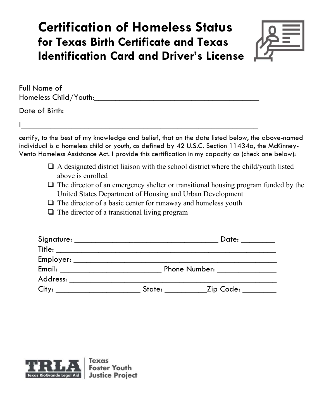# **Certification of Homeless Status for Texas Birth Certificate and Texas Identification Card and Driver's License**



| Full Name of          |  |
|-----------------------|--|
| Homeless Child/Youth: |  |
| Date of Birth:        |  |
|                       |  |

I\_\_\_\_\_\_\_\_\_\_\_\_\_\_\_\_\_\_\_\_\_\_\_\_\_\_\_\_\_\_\_\_\_\_\_\_\_\_\_\_\_\_\_\_\_\_\_\_\_\_\_\_\_\_\_\_

certify, to the best of my knowledge and belief, that on the date listed below, the above-named individual is a homeless child or youth, as defined by 42 U.S.C. Section 11434a, the McKinney-Vento Homeless Assistance Act. I provide this certification in my capacity as (check one below):

- $\Box$  A designated district liaison with the school district where the child/youth listed above is enrolled
- $\Box$  The director of an emergency shelter or transitional housing program funded by the United States Department of Housing and Urban Development
- $\Box$  The director of a basic center for runaway and homeless youth
- $\Box$  The director of a transitional living program

| Signature: ____________________________                                                                                                                                                                                                                                                                                                                                                  |                      | Date: $\_\_$ |
|------------------------------------------------------------------------------------------------------------------------------------------------------------------------------------------------------------------------------------------------------------------------------------------------------------------------------------------------------------------------------------------|----------------------|--------------|
| $\begin{tabular}{c} Title: \hspace{2em} \hspace{2em} \rule[0.2em]{1em}{0.2em} \hspace{2em} \rule[0.2em]{1em}{0.2em} \hspace{2em} \rule[0.2em]{1em}{0.2em} \hspace{2em} \rule[0.2em]{1em}{0.2em} \hspace{2em} \rule[0.2em]{1em}{0.2em} \hspace{2em} \rule[0.2em]{1em}{0.2em} \hspace{2em} \rule[0.2em]{1em}{0.2em} \hspace{2em} \rule[0.2em]{1em}{0.2em} \hspace{2em} \rule[0.2em]{1em}{$ |                      |              |
|                                                                                                                                                                                                                                                                                                                                                                                          |                      |              |
|                                                                                                                                                                                                                                                                                                                                                                                          | <b>Phone Number:</b> |              |
| Address:                                                                                                                                                                                                                                                                                                                                                                                 |                      |              |
|                                                                                                                                                                                                                                                                                                                                                                                          | State:               | Zip Code:    |